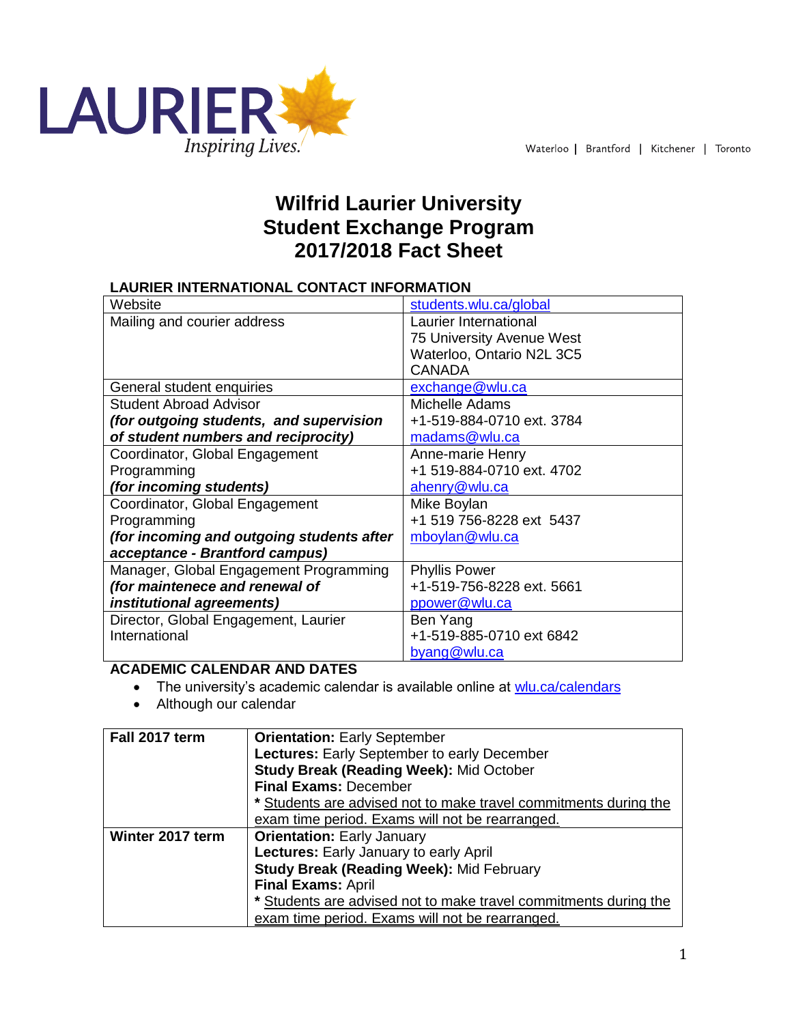

# **Wilfrid Laurier University Student Exchange Program 2017/2018 Fact Sheet**

## **LAURIER INTERNATIONAL CONTACT INFORMATION**

| Website                                   | students.wlu.ca/global    |
|-------------------------------------------|---------------------------|
| Mailing and courier address               | Laurier International     |
|                                           | 75 University Avenue West |
|                                           | Waterloo, Ontario N2L 3C5 |
|                                           | <b>CANADA</b>             |
| General student enquiries                 | exchange@wlu.ca           |
| <b>Student Abroad Advisor</b>             | Michelle Adams            |
| (for outgoing students, and supervision   | +1-519-884-0710 ext. 3784 |
| of student numbers and reciprocity)       | madams@wlu.ca             |
| Coordinator, Global Engagement            | Anne-marie Henry          |
| Programming                               | +1 519-884-0710 ext. 4702 |
| (for incoming students)                   | ahenry@wlu.ca             |
| Coordinator, Global Engagement            | Mike Boylan               |
| Programming                               | +1 519 756-8228 ext 5437  |
| (for incoming and outgoing students after | mboylan@wlu.ca            |
| acceptance - Brantford campus)            |                           |
| Manager, Global Engagement Programming    | <b>Phyllis Power</b>      |
| (for maintenece and renewal of            | +1-519-756-8228 ext. 5661 |
| institutional agreements)                 | ppower@wlu.ca             |
| Director, Global Engagement, Laurier      | Ben Yang                  |
| International                             | +1-519-885-0710 ext 6842  |
|                                           | byang@wlu.ca              |

# **ACADEMIC CALENDAR AND DATES**

- The university's academic calendar is available online at [wlu.ca/calendars](http://www.wlu.ca/calendars)
- Although our calendar

| Fall 2017 term   | <b>Orientation: Early September</b>                              |  |
|------------------|------------------------------------------------------------------|--|
|                  | Lectures: Early September to early December                      |  |
|                  | <b>Study Break (Reading Week): Mid October</b>                   |  |
|                  | <b>Final Exams: December</b>                                     |  |
|                  | * Students are advised not to make travel commitments during the |  |
|                  | exam time period. Exams will not be rearranged.                  |  |
| Winter 2017 term | <b>Orientation: Early January</b>                                |  |
|                  | Lectures: Early January to early April                           |  |
|                  | <b>Study Break (Reading Week): Mid February</b>                  |  |
|                  | <b>Final Exams: April</b>                                        |  |
|                  | * Students are advised not to make travel commitments during the |  |
|                  | exam time period. Exams will not be rearranged.                  |  |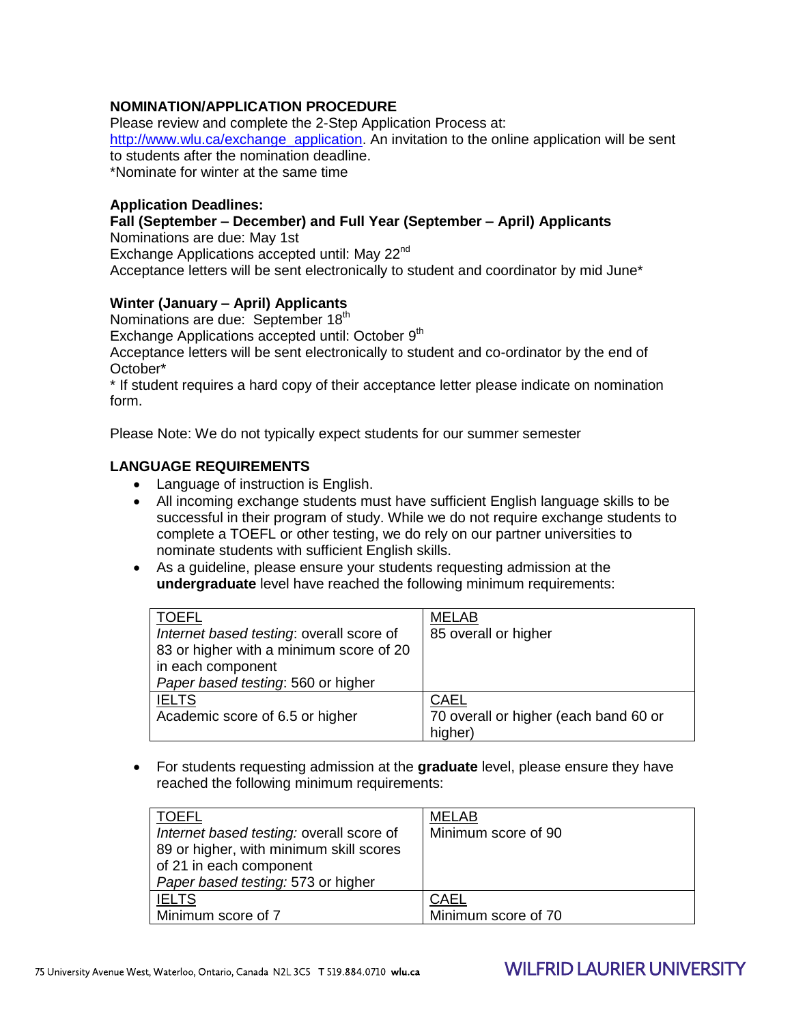## **NOMINATION/APPLICATION PROCEDURE**

Please review and complete the 2-Step Application Process at: [http://www.wlu.ca/exchange\\_application.](http://www.wlu.ca/exchange_application) An invitation to the online application will be sent to students after the nomination deadline. \*Nominate for winter at the same time

#### **Application Deadlines:**

## **Fall (September – December) and Full Year (September – April) Applicants**

Nominations are due: May 1st

Exchange Applications accepted until: May 22<sup>nd</sup>

Acceptance letters will be sent electronically to student and coordinator by mid June\*

#### **Winter (January – April) Applicants**

Nominations are due: September 18<sup>th</sup>

Exchange Applications accepted until: October 9<sup>th</sup>

Acceptance letters will be sent electronically to student and co-ordinator by the end of October\*

\* If student requires a hard copy of their acceptance letter please indicate on nomination form.

Please Note: We do not typically expect students for our summer semester

#### **LANGUAGE REQUIREMENTS**

- Language of instruction is English.
- All incoming exchange students must have sufficient English language skills to be successful in their program of study. While we do not require exchange students to complete a TOEFL or other testing, we do rely on our partner universities to nominate students with sufficient English skills.
- As a guideline, please ensure your students requesting admission at the **undergraduate** level have reached the following minimum requirements:

| TOEFL                                    | <b>MELAB</b>                          |
|------------------------------------------|---------------------------------------|
| Internet based testing: overall score of | 85 overall or higher                  |
| 83 or higher with a minimum score of 20  |                                       |
| in each component                        |                                       |
| Paper based testing: 560 or higher       |                                       |
| <b>IELTS</b>                             | <b>CAEL</b>                           |
| Academic score of 6.5 or higher          | 70 overall or higher (each band 60 or |
|                                          | higher)                               |

 For students requesting admission at the **graduate** level, please ensure they have reached the following minimum requirements:

| TOEFL<br>Internet based testing: overall score of<br>89 or higher, with minimum skill scores<br>of 21 in each component<br>Paper based testing: 573 or higher | <b>MELAB</b><br>Minimum score of 90 |
|---------------------------------------------------------------------------------------------------------------------------------------------------------------|-------------------------------------|
| <b>IELTS</b>                                                                                                                                                  | <b>CAEL</b>                         |
| Minimum score of 7                                                                                                                                            | Minimum score of 70                 |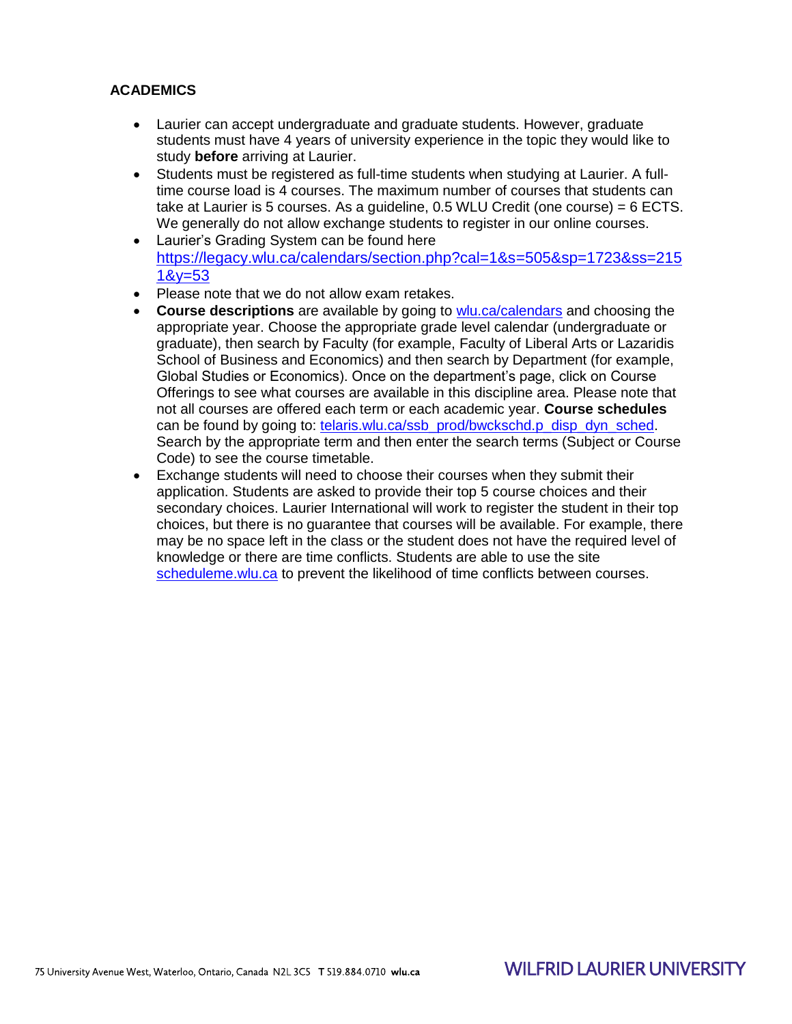## **ACADEMICS**

- Laurier can accept undergraduate and graduate students. However, graduate students must have 4 years of university experience in the topic they would like to study **before** arriving at Laurier.
- Students must be registered as full-time students when studying at Laurier. A fulltime course load is 4 courses. The maximum number of courses that students can take at Laurier is 5 courses. As a guideline, 0.5 WLU Credit (one course) = 6 ECTS. We generally do not allow exchange students to register in our online courses.
- Laurier's Grading System can be found here [https://legacy.wlu.ca/calendars/section.php?cal=1&s=505&sp=1723&ss=215](https://legacy.wlu.ca/calendars/section.php?cal=1&s=505&sp=1723&ss=2151&y=53) [1&y=53](https://legacy.wlu.ca/calendars/section.php?cal=1&s=505&sp=1723&ss=2151&y=53)
- Please note that we do not allow exam retakes.
- **Course descriptions** are available by going to [wlu.ca/calendars](http://wlu.ca/calendars) and choosing the appropriate year. Choose the appropriate grade level calendar (undergraduate or graduate), then search by Faculty (for example, Faculty of Liberal Arts or Lazaridis School of Business and Economics) and then search by Department (for example, Global Studies or Economics). Once on the department's page, click on Course Offerings to see what courses are available in this discipline area. Please note that not all courses are offered each term or each academic year. **Course schedules** can be found by going to: [telaris.wlu.ca/ssb\\_prod/bwckschd.p\\_disp\\_dyn\\_sched.](https://telaris.wlu.ca/ssb_prod/bwckschd.p_disp_dyn_sched) Search by the appropriate term and then enter the search terms (Subject or Course Code) to see the course timetable.
- Exchange students will need to choose their courses when they submit their application. Students are asked to provide their top 5 course choices and their secondary choices. Laurier International will work to register the student in their top choices, but there is no guarantee that courses will be available. For example, there may be no space left in the class or the student does not have the required level of knowledge or there are time conflicts. Students are able to use the site [scheduleme.wlu.ca](http://scheduleme.wlu.ca/) to prevent the likelihood of time conflicts between courses.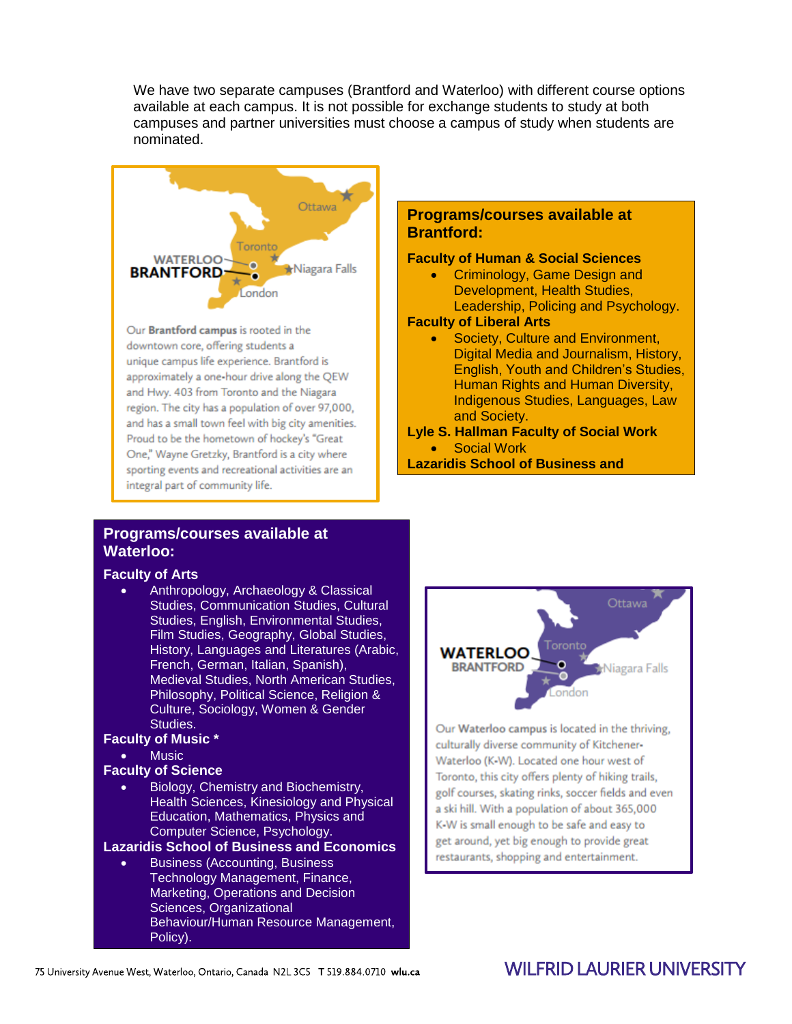We have two separate campuses (Brantford and Waterloo) with different course options available at each campus. It is not possible for exchange students to study at both campuses and partner universities must choose a campus of study when students are nominated.



Our Brantford campus is rooted in the downtown core, offering students a unique campus life experience. Brantford is approximately a one-hour drive along the QEW and Hwy. 403 from Toronto and the Niagara region. The city has a population of over 97,000, and has a small town feel with big city amenities. Proud to be the hometown of hockey's "Great One," Wayne Gretzky, Brantford is a city where sporting events and recreational activities are an integral part of community life.

## **Programs/courses available at Brantford:**

#### **Faculty of Human & Social Sciences**

 Criminology, Game Design and Development, Health Studies, Leadership, Policing and Psychology.

#### **Faculty of Liberal Arts**

**Economics** 

- Society, Culture and Environment, Digital Media and Journalism, History, English, Youth and Children's Studies, Human Rights and Human Diversity, Indigenous Studies, Languages, Law and Society.
- **Lyle S. Hallman Faculty of Social Work** • Social Work
- **Lazaridis School of Business and**

## **Programs/courses available at Waterloo:**

#### **Faculty of Arts**

 Anthropology, Archaeology & Classical Studies, Communication Studies, Cultural Studies, English, Environmental Studies, Film Studies, Geography, Global Studies, History, Languages and Literatures (Arabic, French, German, Italian, Spanish), Medieval Studies, North American Studies, Philosophy, Political Science, Religion & Culture, Sociology, Women & Gender Studies.

### **Faculty of Music \***

**Music** 

#### **Faculty of Science**

Economics

 Biology, Chemistry and Biochemistry, Health Sciences, Kinesiology and Physical Education, Mathematics, Physics and Computer Science, Psychology.

### **Lazaridis School of Business and Economics**

 Business (Accounting, Business Technology Management, Finance, Marketing, Operations and Decision Sciences, Organizational Behaviour/Human Resource Management, Policy).



Our Waterloo campus is located in the thriving, culturally diverse community of Kitchener-Waterloo (K-W). Located one hour west of Toronto, this city offers plenty of hiking trails, golf courses, skating rinks, soccer fields and even a ski hill. With a population of about 365,000 K-W is small enough to be safe and easy to get around, yet big enough to provide great restaurants, shopping and entertainment.

# **WILFRID LAURIFR UNIVERSITY**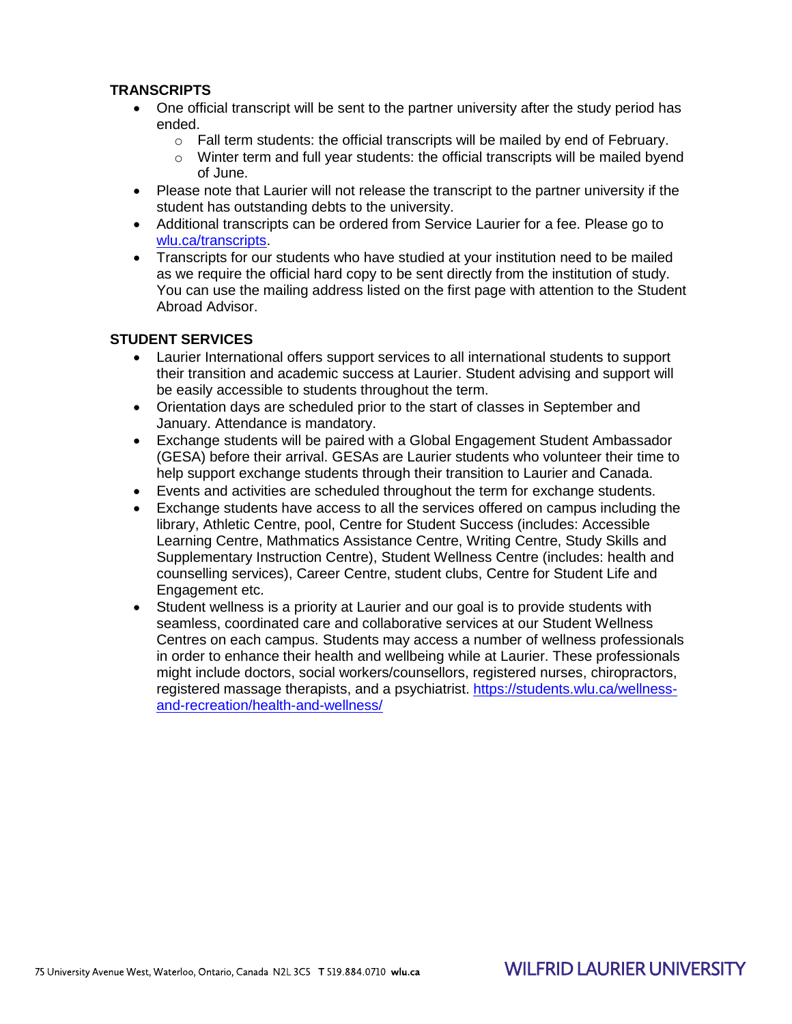## **TRANSCRIPTS**

- One official transcript will be sent to the partner university after the study period has ended.
	- $\circ$  Fall term students: the official transcripts will be mailed by end of February.
	- o Winter term and full year students: the official transcripts will be mailed byend of June.
- Please note that Laurier will not release the transcript to the partner university if the student has outstanding debts to the university.
- Additional transcripts can be ordered from Service Laurier for a fee. Please go to [wlu.ca/transcripts.](http://wlu.ca/transcripts)
- Transcripts for our students who have studied at your institution need to be mailed as we require the official hard copy to be sent directly from the institution of study. You can use the mailing address listed on the first page with attention to the Student Abroad Advisor.

#### **STUDENT SERVICES**

- Laurier International offers support services to all international students to support their transition and academic success at Laurier. Student advising and support will be easily accessible to students throughout the term.
- Orientation days are scheduled prior to the start of classes in September and January. Attendance is mandatory.
- Exchange students will be paired with a Global Engagement Student Ambassador (GESA) before their arrival. GESAs are Laurier students who volunteer their time to help support exchange students through their transition to Laurier and Canada.
- Events and activities are scheduled throughout the term for exchange students.
- Exchange students have access to all the services offered on campus including the library, Athletic Centre, pool, Centre for Student Success (includes: Accessible Learning Centre, Mathmatics Assistance Centre, Writing Centre, Study Skills and Supplementary Instruction Centre), Student Wellness Centre (includes: health and counselling services), Career Centre, student clubs, Centre for Student Life and Engagement etc.
- Student wellness is a priority at Laurier and our goal is to provide students with seamless, coordinated care and collaborative services at our Student Wellness Centres on each campus. Students may access a number of wellness professionals in order to enhance their health and wellbeing while at Laurier. These professionals might include doctors, social workers/counsellors, registered nurses, chiropractors, registered massage therapists, and a psychiatrist. [https://students.wlu.ca/wellness](https://students.wlu.ca/wellness-and-recreation/health-and-wellness/)[and-recreation/health-and-wellness/](https://students.wlu.ca/wellness-and-recreation/health-and-wellness/)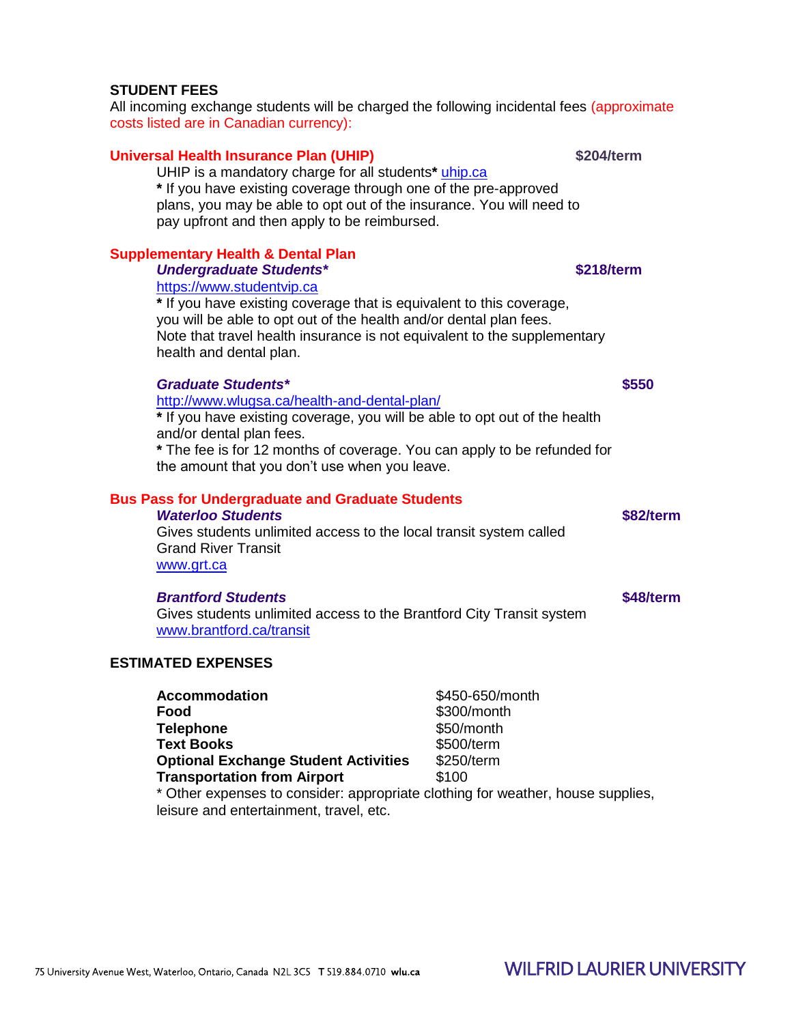# **STUDENT FEES**

All incoming exchange students will be charged the following incidental fees (approximate costs listed are in Canadian currency):

# **Universal Health Insurance Plan (UHIP) \$204/term**

UHIP is a mandatory charge for all students**\*** [uhip.ca](http://uhip.ca/) **\*** If you have existing coverage through one of the pre-approved plans, you may be able to opt out of the insurance. You will need to pay upfront and then apply to be reimbursed.

# **Supplementary Health & Dental Plan**

**Undergraduate Students\*** *\$218/term* 

[https://www.studentvip.ca](https://www.studentvip.ca/) 

**\*** If you have existing coverage that is equivalent to this coverage, you will be able to opt out of the health and/or dental plan fees. Note that travel health insurance is not equivalent to the supplementary health and dental plan.

# *Graduate Students\** **\$550**

<http://www.wlugsa.ca/health-and-dental-plan/>

**\*** If you have existing coverage, you will be able to opt out of the health and/or dental plan fees.

**\*** The fee is for 12 months of coverage. You can apply to be refunded for the amount that you don't use when you leave.

## **Bus Pass for Undergraduate and Graduate Students**

*Waterloo Students* **\$82/term** Gives students unlimited access to the local transit system called Grand River Transit [www.grt.ca](http://www.grt.ca/)

# *Brantford Students* **\$48/term**

Gives students unlimited access to the Brantford City Transit system [www.brantford.ca/transit](http://www.brantford.ca/transit)

# **ESTIMATED EXPENSES**

| <b>Accommodation</b>                                                         | \$450-650/month |
|------------------------------------------------------------------------------|-----------------|
| Food                                                                         | \$300/month     |
| <b>Telephone</b>                                                             | \$50/month      |
| <b>Text Books</b>                                                            | \$500/term      |
| <b>Optional Exchange Student Activities</b>                                  | \$250/term      |
| <b>Transportation from Airport</b>                                           | \$100           |
| * Other expenses to consider: appropriate clothing for weather, house suppro |                 |

expenses to consider: appropriate clothing for weather, house supplies, leisure and entertainment, travel, etc.

# **WILFRID LAURIFR UNIVERSITY**